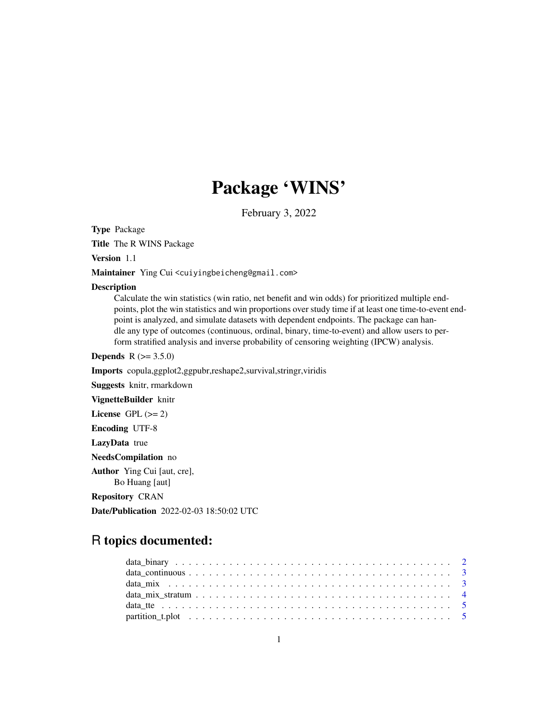## Package 'WINS'

February 3, 2022

Type Package

Title The R WINS Package

Version 1.1

Maintainer Ying Cui <cuiyingbeicheng@gmail.com>

#### Description

Calculate the win statistics (win ratio, net benefit and win odds) for prioritized multiple endpoints, plot the win statistics and win proportions over study time if at least one time-to-event endpoint is analyzed, and simulate datasets with dependent endpoints. The package can handle any type of outcomes (continuous, ordinal, binary, time-to-event) and allow users to perform stratified analysis and inverse probability of censoring weighting (IPCW) analysis.

**Depends** R  $(>= 3.5.0)$ 

Imports copula,ggplot2,ggpubr,reshape2,survival,stringr,viridis

Suggests knitr, rmarkdown

VignetteBuilder knitr

License GPL  $(>= 2)$ 

Encoding UTF-8

LazyData true

NeedsCompilation no

Author Ying Cui [aut, cre], Bo Huang [aut]

Repository CRAN

Date/Publication 2022-02-03 18:50:02 UTC

## R topics documented: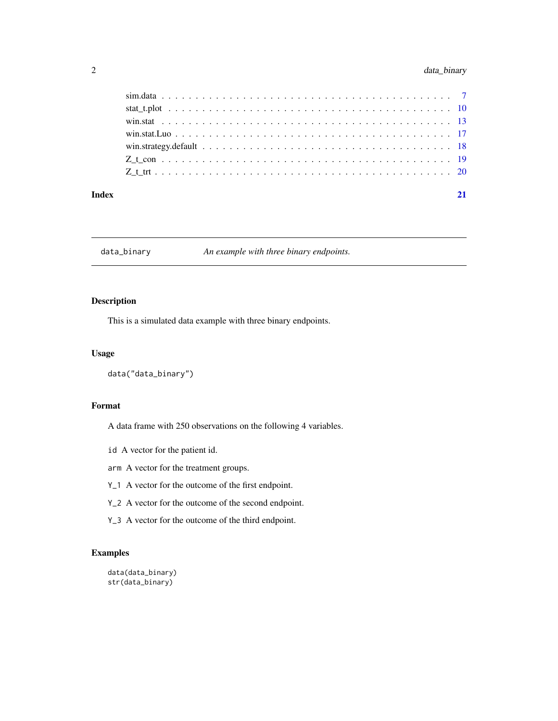## <span id="page-1-0"></span>2 data\_binary

#### **Index** [21](#page-20-0)

data\_binary *An example with three binary endpoints.*

## Description

This is a simulated data example with three binary endpoints.

## Usage

data("data\_binary")

#### Format

A data frame with 250 observations on the following 4 variables.

id A vector for the patient id.

arm A vector for the treatment groups.

Y\_1 A vector for the outcome of the first endpoint.

Y\_2 A vector for the outcome of the second endpoint.

Y\_3 A vector for the outcome of the third endpoint.

```
data(data_binary)
str(data_binary)
```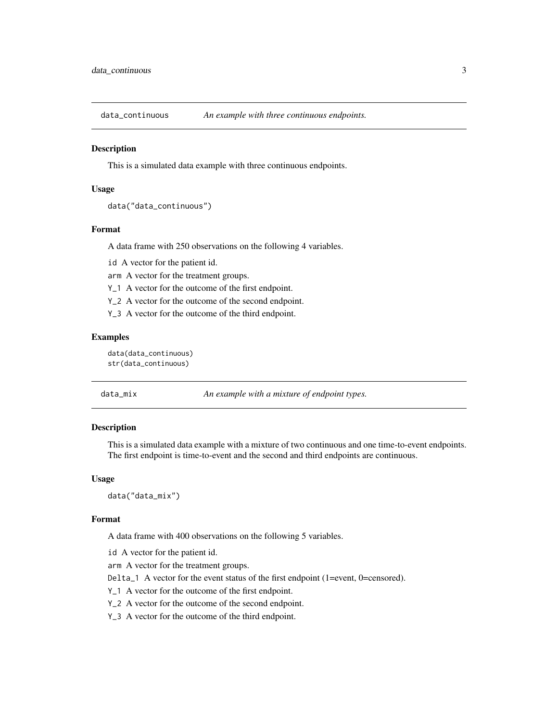<span id="page-2-0"></span>data\_continuous *An example with three continuous endpoints.*

#### Description

This is a simulated data example with three continuous endpoints.

#### Usage

```
data("data_continuous")
```
#### Format

A data frame with 250 observations on the following 4 variables.

id A vector for the patient id.

arm A vector for the treatment groups.

Y\_1 A vector for the outcome of the first endpoint.

Y\_2 A vector for the outcome of the second endpoint.

Y\_3 A vector for the outcome of the third endpoint.

#### Examples

data(data\_continuous) str(data\_continuous)

| data_mix | An example with a mixture of endpoint types. |
|----------|----------------------------------------------|
|          |                                              |

#### Description

This is a simulated data example with a mixture of two continuous and one time-to-event endpoints. The first endpoint is time-to-event and the second and third endpoints are continuous.

#### Usage

```
data("data_mix")
```
#### Format

A data frame with 400 observations on the following 5 variables.

id A vector for the patient id.

arm A vector for the treatment groups.

Delta<sub>\_1</sub> A vector for the event status of the first endpoint (1=event, 0=censored).

Y\_1 A vector for the outcome of the first endpoint.

Y\_2 A vector for the outcome of the second endpoint.

Y\_3 A vector for the outcome of the third endpoint.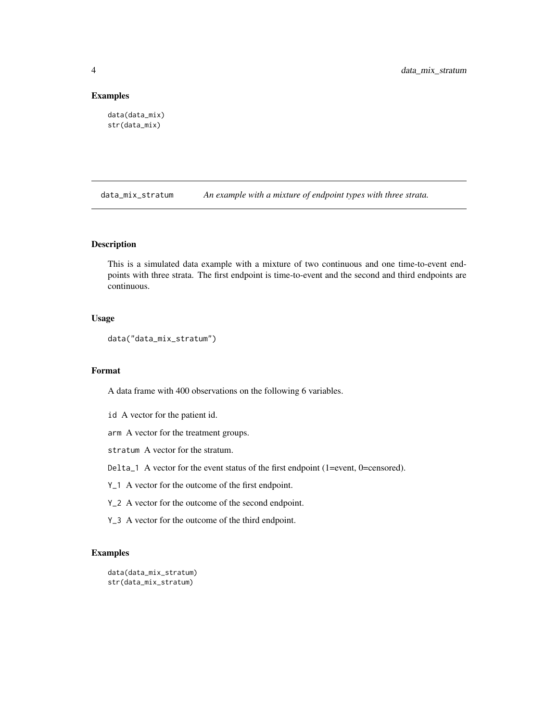## Examples

```
data(data_mix)
str(data_mix)
```
data\_mix\_stratum *An example with a mixture of endpoint types with three strata.*

#### Description

This is a simulated data example with a mixture of two continuous and one time-to-event endpoints with three strata. The first endpoint is time-to-event and the second and third endpoints are continuous.

#### Usage

```
data("data_mix_stratum")
```
## Format

A data frame with 400 observations on the following 6 variables.

id A vector for the patient id.

arm A vector for the treatment groups.

stratum A vector for the stratum.

Delta<sub>1</sub> A vector for the event status of the first endpoint (1=event, 0=censored).

Y\_1 A vector for the outcome of the first endpoint.

Y\_2 A vector for the outcome of the second endpoint.

Y\_3 A vector for the outcome of the third endpoint.

```
data(data_mix_stratum)
str(data_mix_stratum)
```
<span id="page-3-0"></span>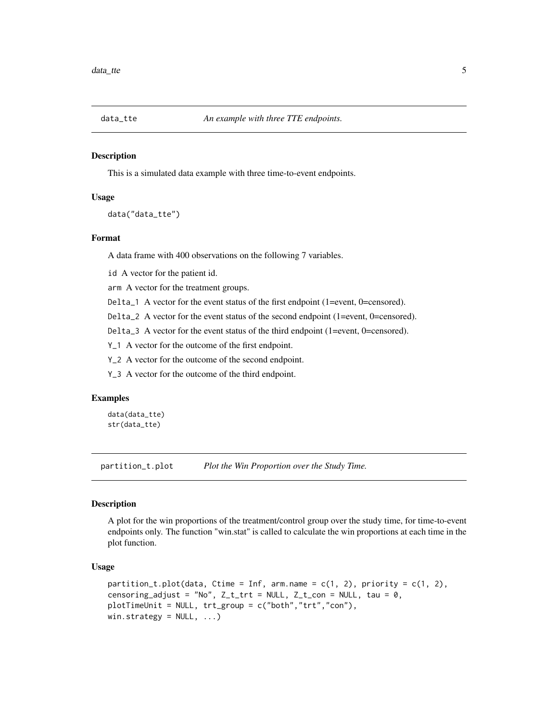<span id="page-4-0"></span>

#### Description

This is a simulated data example with three time-to-event endpoints.

#### Usage

data("data\_tte")

#### Format

A data frame with 400 observations on the following 7 variables.

id A vector for the patient id.

arm A vector for the treatment groups.

Delta<sub>1</sub> A vector for the event status of the first endpoint (1=event, 0=censored).

Delta\_2 A vector for the event status of the second endpoint (1=event, 0=censored).

Delta\_3 A vector for the event status of the third endpoint (1=event, 0=censored).

Y\_1 A vector for the outcome of the first endpoint.

Y\_2 A vector for the outcome of the second endpoint.

Y\_3 A vector for the outcome of the third endpoint.

#### Examples

data(data\_tte) str(data\_tte)

partition\_t.plot *Plot the Win Proportion over the Study Time.*

#### Description

A plot for the win proportions of the treatment/control group over the study time, for time-to-event endpoints only. The function "win.stat" is called to calculate the win proportions at each time in the plot function.

#### Usage

```
partition_t.plot(data, Ctime = Inf, arm.name = c(1, 2), priority = c(1, 2),
censoring_adjust = "No", Z_t_ttrt = NULL, Z_tcon = NULL, tau = 0,
plotTimeUnit = NULL, trt_group = c("both","trt","con"),
win.startegy = NULL, ...)
```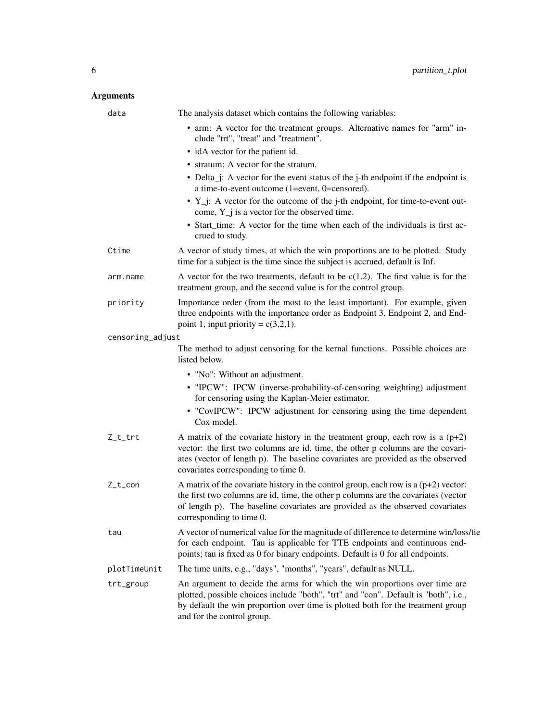| data             | The analysis dataset which contains the following variables:                                                                                                                                                                                                                                 |
|------------------|----------------------------------------------------------------------------------------------------------------------------------------------------------------------------------------------------------------------------------------------------------------------------------------------|
|                  | • arm: A vector for the treatment groups. Alternative names for "arm" in-<br>clude "trt", "treat" and "treatment".                                                                                                                                                                           |
|                  | • idA vector for the patient id.                                                                                                                                                                                                                                                             |
|                  | • stratum: A vector for the stratum.                                                                                                                                                                                                                                                         |
|                  | • Delta_j: A vector for the event status of the j-th endpoint if the endpoint is<br>a time-to-event outcome (1=event, 0=censored).                                                                                                                                                           |
|                  | • $Y_i$ : A vector for the outcome of the j-th endpoint, for time-to-event out-<br>come, $Y_i$ is a vector for the observed time.                                                                                                                                                            |
|                  | • Start_time: A vector for the time when each of the individuals is first ac-<br>crued to study.                                                                                                                                                                                             |
| Ctime            | A vector of study times, at which the win proportions are to be plotted. Study<br>time for a subject is the time since the subject is accrued, default is Inf.                                                                                                                               |
| arm.name         | A vector for the two treatments, default to be $c(1,2)$ . The first value is for the<br>treatment group, and the second value is for the control group.                                                                                                                                      |
| priority         | Importance order (from the most to the least important). For example, given<br>three endpoints with the importance order as Endpoint 3, Endpoint 2, and End-<br>point 1, input priority = $c(3,2,1)$ .                                                                                       |
| censoring_adjust |                                                                                                                                                                                                                                                                                              |
|                  | The method to adjust censoring for the kernal functions. Possible choices are<br>listed below.                                                                                                                                                                                               |
|                  | • "No": Without an adjustment.                                                                                                                                                                                                                                                               |
|                  | • "IPCW": IPCW (inverse-probability-of-censoring weighting) adjustment<br>for censoring using the Kaplan-Meier estimator.                                                                                                                                                                    |
|                  | • "CovIPCW": IPCW adjustment for censoring using the time dependent<br>Cox model.                                                                                                                                                                                                            |
| $Z_t$ trt        | A matrix of the covariate history in the treatment group, each row is a $(p+2)$<br>vector: the first two columns are id, time, the other p columns are the covari-<br>ates (vector of length p). The baseline covariates are provided as the observed<br>covariates corresponding to time 0. |
| $Z_t_{con}$      | A matrix of the covariate history in the control group, each row is a $(p+2)$ vector:<br>the first two columns are id, time, the other p columns are the covariates (vector<br>of length p). The baseline covariates are provided as the observed covariates<br>corresponding to time 0.     |
| tau              | A vector of numerical value for the magnitude of difference to determine win/loss/tie<br>for each endpoint. Tau is applicable for TTE endpoints and continuous end-<br>points; tau is fixed as 0 for binary endpoints. Default is 0 for all endpoints.                                       |
| plotTimeUnit     | The time units, e.g., "days", "months", "years", default as NULL.                                                                                                                                                                                                                            |
| trt_group        | An argument to decide the arms for which the win proportions over time are<br>plotted, possible choices include "both", "trt" and "con". Default is "both", i.e.,<br>by default the win proportion over time is plotted both for the treatment group<br>and for the control group.           |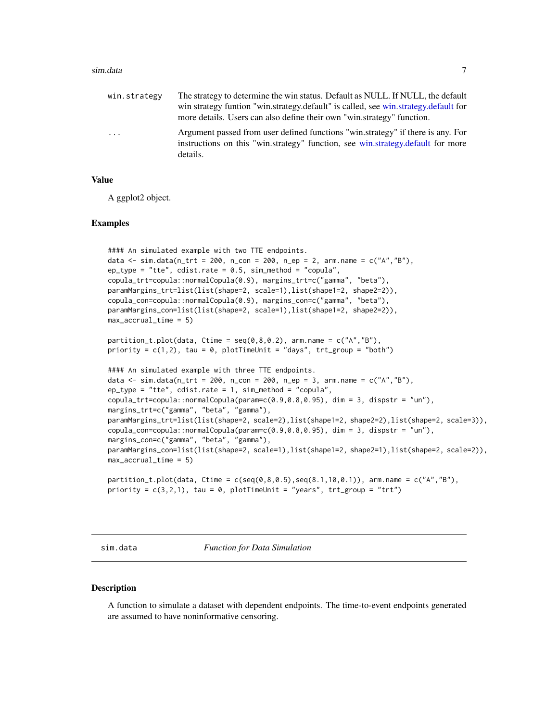#### <span id="page-6-0"></span>sim.data 7

| win.strategy | The strategy to determine the win status. Default as NULL. If NULL, the default<br>win strategy funtion "win.strategy.default" is called, see win.strategy.default for<br>more details. Users can also define their own "win.strategy" function. |
|--------------|--------------------------------------------------------------------------------------------------------------------------------------------------------------------------------------------------------------------------------------------------|
| $\cdot$      | Argument passed from user defined functions "win.strategy" if there is any. For<br>instructions on this "win.strategy" function, see win.strategy.default for more<br>details.                                                                   |

#### Value

A ggplot2 object.

#### Examples

```
#### An simulated example with two TTE endpoints.
data <- sim.data(n_trt = 200, n_con = 200, n_ep = 2, arm.name = c("A", "B"),
ep_type = "tte", cdist_rate = 0.5, sim</u>0, = "copula",copula_trt=copula::normalCopula(0.9), margins_trt=c("gamma", "beta"),
paramMargins_trt=list(list(shape=2, scale=1),list(shape1=2, shape2=2)),
copula_con=copula::normalCopula(0.9), margins_con=c("gamma", "beta"),
paramMargins_con=list(list(shape=2, scale=1),list(shape1=2, shape2=2)),
max_accrual_time = 5)
partition_t.plot(data, Ctime = seq(0,8,0.2), arm.name = c("A","B"),
priority = c(1,2), tau = 0, plotTimeUnit = "days", trt_group = "both")
#### An simulated example with three TTE endpoints.
data <- sim.data(n_trt = 200, n_con = 200, n_ep = 3, arm.name = c("A", "B"),
ep_type = "tte", cdist.rate = 1, sim_method = "copula",
copula_trt=copula::normalCopula(param=c(0.9,0.8,0.95), dim = 3, dispstr = "un"),
margins_trt=c("gamma", "beta", "gamma"),
paramMargins_trt=list(list(shape=2, scale=2),list(shape1=2, shape2=2),list(shape=2, scale=3)),
copula_con=copula::normalCopula(param=c(0.9, 0.8, 0.95), dim = 3, dispstr = "un"),
margins_con=c("gamma", "beta", "gamma"),
paramMargins_con=list(list(shape=2, scale=1),list(shape1=2, shape2=1),list(shape=2, scale=2)),
max_accrual_time = 5)
```

```
partition_t.plot(data, Ctime = c(seq(0, 8, 0.5), seq(8.1, 10, 0.1)), arm.name = c("A", "B"),priority = c(3,2,1), tau = 0, plotTimeUnit = "years", trt_group = "trt")
```
sim.data *Function for Data Simulation*

#### **Description**

A function to simulate a dataset with dependent endpoints. The time-to-event endpoints generated are assumed to have noninformative censoring.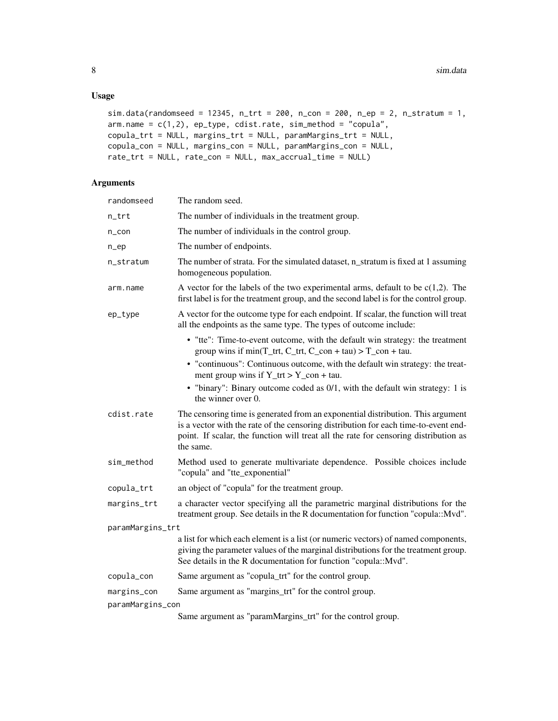```
sim.data(randomseed = 12345, n_trt = 200, n_con = 200, n_ep = 2, n_stratum = 1,
arm.name = c(1,2), ep_type, cdist_rate, sim\_method = "copula",copula_trt = NULL, margins_trt = NULL, paramMargins_trt = NULL,
copula_con = NULL, margins_con = NULL, paramMargins_con = NULL,
rate_trt = NULL, rate_con = NULL, max_accrual_time = NULL)
```

| randomseed         | The random seed.                                                                                                                                                                                                                                                            |
|--------------------|-----------------------------------------------------------------------------------------------------------------------------------------------------------------------------------------------------------------------------------------------------------------------------|
| n_trt              | The number of individuals in the treatment group.                                                                                                                                                                                                                           |
| $n_{\text{-}}$ con | The number of individuals in the control group.                                                                                                                                                                                                                             |
| $n$ _ep            | The number of endpoints.                                                                                                                                                                                                                                                    |
| n_stratum          | The number of strata. For the simulated dataset, n_stratum is fixed at 1 assuming<br>homogeneous population.                                                                                                                                                                |
| arm.name           | A vector for the labels of the two experimental arms, default to be $c(1,2)$ . The<br>first label is for the treatment group, and the second label is for the control group.                                                                                                |
| ep_type            | A vector for the outcome type for each endpoint. If scalar, the function will treat<br>all the endpoints as the same type. The types of outcome include:                                                                                                                    |
|                    | • "tte": Time-to-event outcome, with the default win strategy: the treatment<br>group wins if $min(T_{trt}, C_{trt}, C_{con} + tau) > T_{con} + tau$ .                                                                                                                      |
|                    | • "continuous": Continuous outcome, with the default win strategy: the treat-<br>ment group wins if $Y_{\text{trt}} > Y_{\text{con}} + \text{tau}$ .                                                                                                                        |
|                    | • "binary": Binary outcome coded as 0/1, with the default win strategy: 1 is<br>the winner over 0.                                                                                                                                                                          |
| cdist.rate         | The censoring time is generated from an exponential distribution. This argument<br>is a vector with the rate of the censoring distribution for each time-to-event end-<br>point. If scalar, the function will treat all the rate for censoring distribution as<br>the same. |
|                    |                                                                                                                                                                                                                                                                             |
| sim_method         | Method used to generate multivariate dependence. Possible choices include<br>"copula" and "tte_exponential"                                                                                                                                                                 |
| copula_trt         | an object of "copula" for the treatment group.                                                                                                                                                                                                                              |
| margins_trt        | a character vector specifying all the parametric marginal distributions for the<br>treatment group. See details in the R documentation for function "copula::Mvd".                                                                                                          |
| paramMargins_trt   |                                                                                                                                                                                                                                                                             |
|                    | a list for which each element is a list (or numeric vectors) of named components,<br>giving the parameter values of the marginal distributions for the treatment group.<br>See details in the R documentation for function "copula::Mvd".                                   |
| copula_con         | Same argument as "copula_trt" for the control group.                                                                                                                                                                                                                        |
| margins_con        | Same argument as "margins_trt" for the control group.                                                                                                                                                                                                                       |
| paramMargins_con   | Same argument as "paramMargins_trt" for the control group.                                                                                                                                                                                                                  |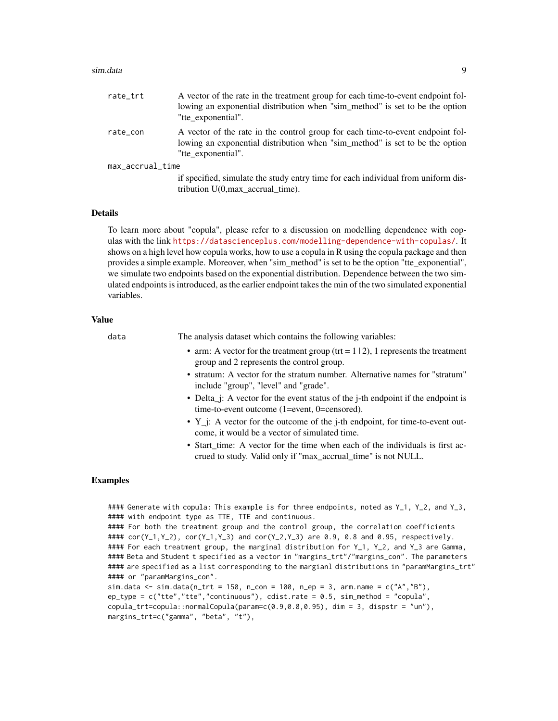#### sim.data 9

| rate_trt         | A vector of the rate in the treatment group for each time-to-event endpoint fol-<br>lowing an exponential distribution when "sim_method" is set to be the option<br>"tte exponential". |
|------------------|----------------------------------------------------------------------------------------------------------------------------------------------------------------------------------------|
| rate_con         | A vector of the rate in the control group for each time-to-event endpoint fol-<br>lowing an exponential distribution when "sim_method" is set to be the option<br>"tte exponential".   |
| max_accrual_time |                                                                                                                                                                                        |
|                  | if specified, simulate the study entry time for each individual from uniform dis-<br>tribution $U(0, max$ accrual time).                                                               |

#### Details

To learn more about "copula", please refer to a discussion on modelling dependence with copulas with the link <https://datascienceplus.com/modelling-dependence-with-copulas/>. It shows on a high level how copula works, how to use a copula in R using the copula package and then provides a simple example. Moreover, when "sim\_method" is set to be the option "tte\_exponential", we simulate two endpoints based on the exponential distribution. Dependence between the two simulated endpoints is introduced, as the earlier endpoint takes the min of the two simulated exponential variables.

#### Value

data The analysis dataset which contains the following variables:

- arm: A vector for the treatment group (trt =  $1/2$ ), 1 represents the treatment group and 2 represents the control group.
- stratum: A vector for the stratum number. Alternative names for "stratum" include "group", "level" and "grade".
- Delta<sub>l</sub>: A vector for the event status of the j-th endpoint if the endpoint is time-to-event outcome (1=event, 0=censored).
- Y j: A vector for the outcome of the j-th endpoint, for time-to-event outcome, it would be a vector of simulated time.
- Start\_time: A vector for the time when each of the individuals is first accrued to study. Valid only if "max\_accrual\_time" is not NULL.

#### Examples

#### Generate with copula: This example is for three endpoints, noted as Y\_1, Y\_2, and Y\_3, #### with endpoint type as TTE, TTE and continuous.

#### For both the treatment group and the control group, the correlation coefficients #### cor(Y\_1,Y\_2), cor(Y\_1,Y\_3) and cor(Y\_2,Y\_3) are 0.9, 0.8 and 0.95, respectively. #### For each treatment group, the marginal distribution for Y\_1, Y\_2, and Y\_3 are Gamma, #### Beta and Student t specified as a vector in "margins\_trt"/"margins\_con". The parameters #### are specified as a list corresponding to the margianl distributions in "paramMargins\_trt" #### or "paramMargins\_con".

sim.data <- sim.data(n\_trt = 150, n\_con = 100, n\_ep = 3, arm.name =  $c("A", "B")$ , ep\_type = c("tte","tte","continuous"), cdist.rate = 0.5, sim\_method = "copula",  $copula\_trt=copula::normalCopula(param=c(0.9,0.8,0.95), dim = 3, dispstr = "un"),$ margins\_trt=c("gamma", "beta", "t"),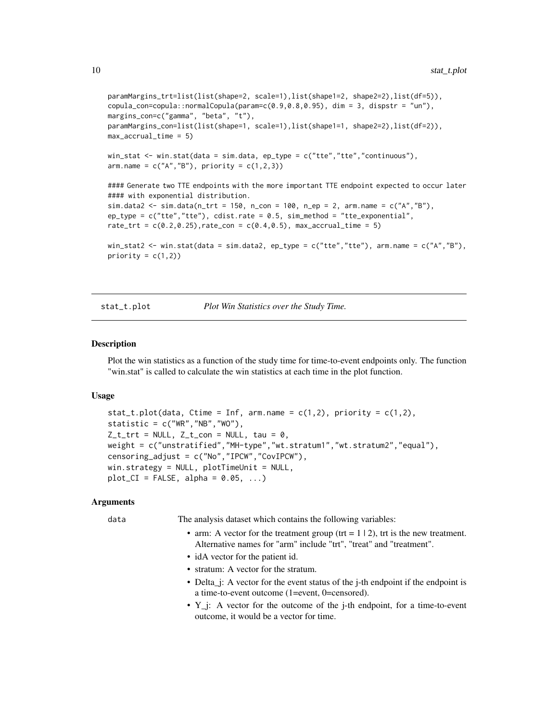```
paramMargins_trt=list(list(shape=2, scale=1),list(shape1=2, shape2=2),list(df=5)),
copula_con=copula::normalCopula(param=c(0.9, 0.8, 0.95), dim = 3, dispstr = "un"),
margins_con=c("gamma", "beta", "t"),
paramMargins_con=list(list(shape=1, scale=1),list(shape1=1, shape2=2),list(df=2)),
max_accrual_time = 5)
win_stat <- win.stat(data = sim.data, ep_type = c("tte","tte","continuous"),
arm.name = c("A", "B"), priority = c(1, 2, 3))#### Generate two TTE endpoints with the more important TTE endpoint expected to occur later
#### with exponential distribution.
sim.data2 <- sim.data(n_trt = 150, n_con = 100, n_ep = 2, arm.name = c("A", "B"),
ep_type = c("tte","tte"), cdist.rate = 0.5, sim_method = "tte_exponential",
rate_trt = c(0.2, 0.25), rate_con = c(0.4, 0.5), max_accrual_time = 5)
win_stat2 <- win.stat(data = sim.data2, ep_type = c("tte", "tte"), arm.name = c("A", "B"),priority = c(1,2))
```
stat\_t.plot *Plot Win Statistics over the Study Time.*

#### Description

Plot the win statistics as a function of the study time for time-to-event endpoints only. The function "win.stat" is called to calculate the win statistics at each time in the plot function.

#### Usage

```
stat_t.plot(data, Ctime = Inf, arm.name = c(1,2), priority = c(1,2),
statistic = c("WR","NB","WO"),
Z_tt_trt = NULL, Z_t_con = NULL, tau = 0,
weight = c("unstratified","MH-type","wt.stratum1","wt.stratum2","equal"),
censoring_adjust = c("No","IPCW","CovIPCW"),
win.strategy = NULL, plotTimeUnit = NULL,
plot_CI = FALSE, alpha = 0.05, ...)
```

| .    |                                                                                                                                                               |
|------|---------------------------------------------------------------------------------------------------------------------------------------------------------------|
| data | The analysis dataset which contains the following variables:                                                                                                  |
|      | • arm: A vector for the treatment group (trt = $1 \mid 2$ ), trt is the new treatment.<br>Alternative names for "arm" include "trt", "treat" and "treatment". |
|      | • idA vector for the patient id.                                                                                                                              |
|      | • stratum: A vector for the stratum.                                                                                                                          |
|      | • Delta <sub>l</sub> : A vector for the event status of the j-th endpoint if the endpoint is<br>a time-to-event outcome $(1=$ event, $0=$ censored).          |
|      | • $Y_i$ : A vector for the outcome of the j-th endpoint, for a time-to-event<br>outcome, it would be a vector for time.                                       |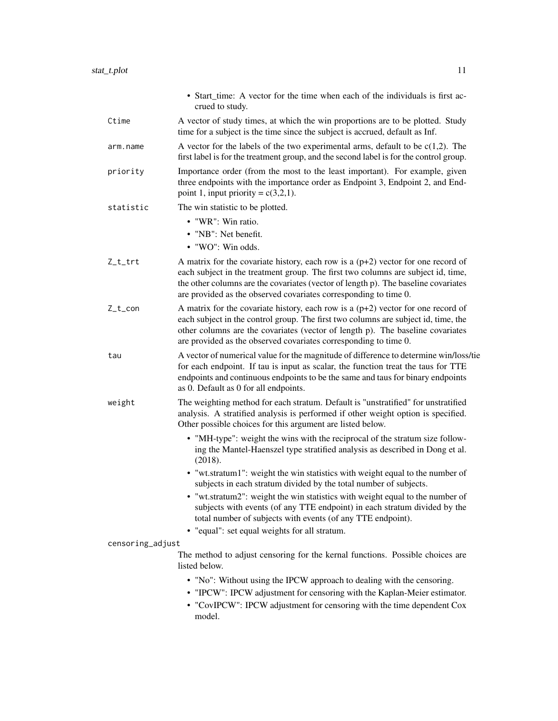|                  | • Start_time: A vector for the time when each of the individuals is first ac-<br>crued to study.                                                                                                                                                                                                                                 |
|------------------|----------------------------------------------------------------------------------------------------------------------------------------------------------------------------------------------------------------------------------------------------------------------------------------------------------------------------------|
| Ctime            | A vector of study times, at which the win proportions are to be plotted. Study<br>time for a subject is the time since the subject is accrued, default as Inf.                                                                                                                                                                   |
| arm.name         | A vector for the labels of the two experimental arms, default to be $c(1,2)$ . The<br>first label is for the treatment group, and the second label is for the control group.                                                                                                                                                     |
| priority         | Importance order (from the most to the least important). For example, given<br>three endpoints with the importance order as Endpoint 3, Endpoint 2, and End-<br>point 1, input priority = $c(3,2,1)$ .                                                                                                                           |
| statistic        | The win statistic to be plotted.                                                                                                                                                                                                                                                                                                 |
|                  | • "WR": Win ratio.                                                                                                                                                                                                                                                                                                               |
|                  | • "NB": Net benefit.                                                                                                                                                                                                                                                                                                             |
|                  | • "WO": Win odds.                                                                                                                                                                                                                                                                                                                |
| $Z_t$ trt        | A matrix for the covariate history, each row is a $(p+2)$ vector for one record of<br>each subject in the treatment group. The first two columns are subject id, time,<br>the other columns are the covariates (vector of length p). The baseline covariates<br>are provided as the observed covariates corresponding to time 0. |
| $Z_t_{con}$      | A matrix for the covariate history, each row is a $(p+2)$ vector for one record of<br>each subject in the control group. The first two columns are subject id, time, the<br>other columns are the covariates (vector of length p). The baseline covariates<br>are provided as the observed covariates corresponding to time 0.   |
| tau              | A vector of numerical value for the magnitude of difference to determine win/loss/tie<br>for each endpoint. If tau is input as scalar, the function treat the taus for TTE<br>endpoints and continuous endpoints to be the same and taus for binary endpoints<br>as 0. Default as 0 for all endpoints.                           |
| weight           | The weighting method for each stratum. Default is "unstratified" for unstratified<br>analysis. A stratified analysis is performed if other weight option is specified.<br>Other possible choices for this argument are listed below.                                                                                             |
|                  | • "MH-type": weight the wins with the reciprocal of the stratum size follow-<br>ing the Mantel-Haenszel type stratified analysis as described in Dong et al.<br>(2018).                                                                                                                                                          |
|                  | • "wt.stratum1": weight the win statistics with weight equal to the number of<br>subjects in each stratum divided by the total number of subjects.                                                                                                                                                                               |
|                  | • "wt.stratum2": weight the win statistics with weight equal to the number of<br>subjects with events (of any TTE endpoint) in each stratum divided by the<br>total number of subjects with events (of any TTE endpoint).                                                                                                        |
|                  | • "equal": set equal weights for all stratum.                                                                                                                                                                                                                                                                                    |
| censoring_adjust |                                                                                                                                                                                                                                                                                                                                  |
|                  | The method to adjust censoring for the kernal functions. Possible choices are<br>listed below.                                                                                                                                                                                                                                   |
|                  | • "No": Without using the IPCW approach to dealing with the censoring.                                                                                                                                                                                                                                                           |
|                  | • "IPCW": IPCW adjustment for censoring with the Kaplan-Meier estimator.                                                                                                                                                                                                                                                         |
|                  | • "CovIPCW": IPCW adjustment for censoring with the time dependent Cox<br>model.                                                                                                                                                                                                                                                 |
|                  |                                                                                                                                                                                                                                                                                                                                  |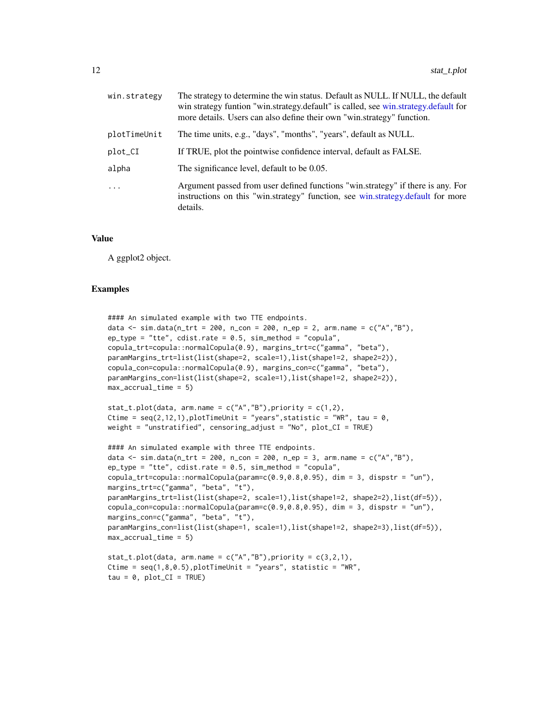<span id="page-11-0"></span>

| win.strategy | The strategy to determine the win status. Default as NULL. If NULL, the default<br>win strategy funtion "win.strategy.default" is called, see win.strategy.default for<br>more details. Users can also define their own "win.strategy" function. |
|--------------|--------------------------------------------------------------------------------------------------------------------------------------------------------------------------------------------------------------------------------------------------|
| plotTimeUnit | The time units, e.g., "days", "months", "years", default as NULL.                                                                                                                                                                                |
| plot_CI      | If TRUE, plot the pointwise confidence interval, default as FALSE.                                                                                                                                                                               |
| alpha        | The significance level, default to be 0.05.                                                                                                                                                                                                      |
| .            | Argument passed from user defined functions "win.strategy" if there is any. For<br>instructions on this "win.strategy" function, see win.strategy.default for more<br>details.                                                                   |

#### Value

A ggplot2 object.

```
#### An simulated example with two TTE endpoints.
data <- sim.data(n_trt = 200, n_con = 200, n_ep = 2, arm.name = c("A", "B"),
ep_type = "tte", cdist_rate = 0.5, sim-method = "copula",copula_trt=copula::normalCopula(0.9), margins_trt=c("gamma", "beta"),
paramMargins_trt=list(list(shape=2, scale=1),list(shape1=2, shape2=2)),
copula_con=copula::normalCopula(0.9), margins_con=c("gamma", "beta"),
paramMargins_con=list(list(shape=2, scale=1),list(shape1=2, shape2=2)),
max_accrual_time = 5)
stat_t.plot(data, arm.name = c("A", "B"), priority = c(1,2),
Ctime = seq(2, 12, 1), plotTimeUnit = "years", statistic = "WR", tau = 0,
weight = "unstratified", censoring_adjust = "No", plot_CI = TRUE)
#### An simulated example with three TTE endpoints.
data <- sim.data(n_trt = 200, n_con = 200, n_ep = 3, arm.name = c("A", "B"),
ep_type = "tte", colist_rate = 0.5, sim</u>nethod = "copula",copula_trt=copula::normalCopula(param=c(0.9, 0.8, 0.95), dim = 3, dispstr = "un"),
margins_trt=c("gamma", "beta", "t"),
paramMargins_trt=list(list(shape=2, scale=1),list(shape1=2, shape2=2),list(df=5)),
copula_con=copula::normalCopula(param=c(0.9, 0.8, 0.95), dim = 3, dispstr = "un"),
margins_con=c("gamma", "beta", "t"),
paramMargins_con=list(list(shape=1, scale=1),list(shape1=2, shape2=3),list(df=5)),
max_accrual_time = 5)
stat_t.plot(data, arm.name = c("A", "B"), priority = c(3,2,1),
Ctime = seq(1,8,0.5), plotTimeUnit = "years", statistic = "WR",
tau = 0, plot_CI = TRUE
```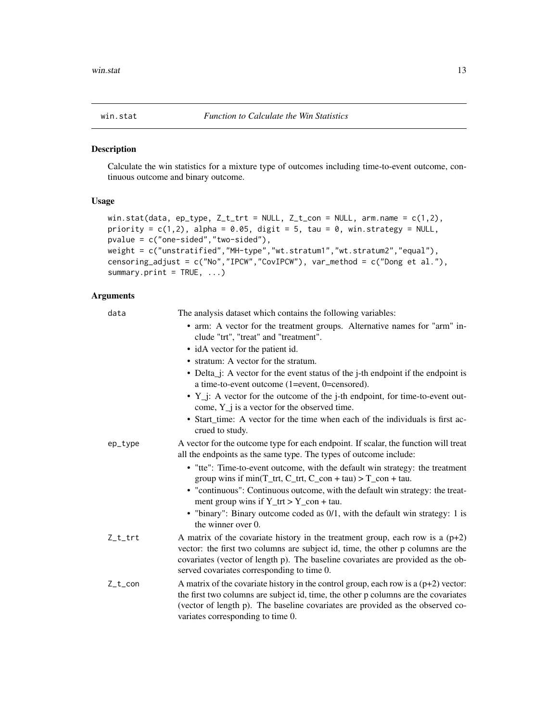<span id="page-12-0"></span>

## Description

Calculate the win statistics for a mixture type of outcomes including time-to-event outcome, continuous outcome and binary outcome.

## Usage

```
win.stat(data, ep_type, Z_tt_trt = NULL, Z_t_con = NULL, arm.name = c(1,2),
priority = c(1,2), alpha = 0.05, digit = 5, tau = 0, win.strategy = NULL,
pvalue = c("one-sided","two-sided"),
weight = c("unstratified","MH-type","wt.stratum1","wt.stratum2","equal"),
censoring_adjust = c("No","IPCW","CovIPCW"), var_method = c("Dong et al."),
summary.print = TRUE, ...)
```

| data       | The analysis dataset which contains the following variables:                                                                                                                                                                                                                                         |
|------------|------------------------------------------------------------------------------------------------------------------------------------------------------------------------------------------------------------------------------------------------------------------------------------------------------|
|            | • arm: A vector for the treatment groups. Alternative names for "arm" in-<br>clude "trt", "treat" and "treatment".                                                                                                                                                                                   |
|            | • idA vector for the patient id.                                                                                                                                                                                                                                                                     |
|            | • stratum: A vector for the stratum.                                                                                                                                                                                                                                                                 |
|            | • Delta_j: A vector for the event status of the j-th endpoint if the endpoint is<br>a time-to-event outcome (1=event, 0=censored).                                                                                                                                                                   |
|            | • $Y_i$ : A vector for the outcome of the j-th endpoint, for time-to-event out-<br>come, $Y_{i}$ is a vector for the observed time.                                                                                                                                                                  |
|            | • Start_time: A vector for the time when each of the individuals is first ac-<br>crued to study.                                                                                                                                                                                                     |
| ep_type    | A vector for the outcome type for each endpoint. If scalar, the function will treat<br>all the endpoints as the same type. The types of outcome include:                                                                                                                                             |
|            | • "tte": Time-to-event outcome, with the default win strategy: the treatment<br>group wins if $min(T_{trt}, C_{trt}, C_{con} + tau) > T_{con} + tau$ .                                                                                                                                               |
|            | • "continuous": Continuous outcome, with the default win strategy: the treat-<br>ment group wins if $Y_{\text{tr}} > Y_{\text{con}} + \text{tau}$ .                                                                                                                                                  |
|            | • "binary": Binary outcome coded as 0/1, with the default win strategy: 1 is<br>the winner over 0.                                                                                                                                                                                                   |
| $Z_t$ trt  | A matrix of the covariate history in the treatment group, each row is a $(p+2)$<br>vector: the first two columns are subject id, time, the other p columns are the<br>covariates (vector of length p). The baseline covariates are provided as the ob-<br>served covariates corresponding to time 0. |
| $Z_t$ _con | A matrix of the covariate history in the control group, each row is a $(p+2)$ vector:<br>the first two columns are subject id, time, the other p columns are the covariates<br>(vector of length p). The baseline covariates are provided as the observed co-<br>variates corresponding to time 0.   |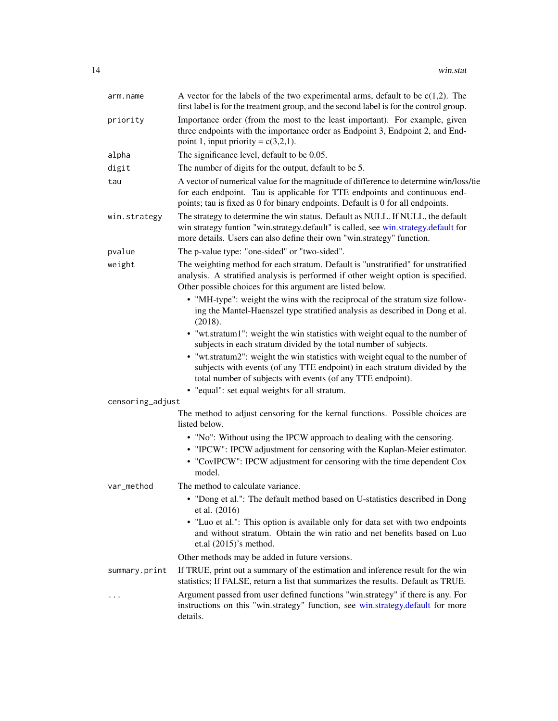<span id="page-13-0"></span>

| arm.name         | A vector for the labels of the two experimental arms, default to be $c(1,2)$ . The<br>first label is for the treatment group, and the second label is for the control group.                                                                           |
|------------------|--------------------------------------------------------------------------------------------------------------------------------------------------------------------------------------------------------------------------------------------------------|
| priority         | Importance order (from the most to the least important). For example, given<br>three endpoints with the importance order as Endpoint 3, Endpoint 2, and End-<br>point 1, input priority = $c(3,2,1)$ .                                                 |
| alpha            | The significance level, default to be 0.05.                                                                                                                                                                                                            |
| digit            | The number of digits for the output, default to be 5.                                                                                                                                                                                                  |
| tau              | A vector of numerical value for the magnitude of difference to determine win/loss/tie<br>for each endpoint. Tau is applicable for TTE endpoints and continuous end-<br>points; tau is fixed as 0 for binary endpoints. Default is 0 for all endpoints. |
| win.strategy     | The strategy to determine the win status. Default as NULL. If NULL, the default<br>win strategy funtion "win.strategy.default" is called, see win.strategy.default for<br>more details. Users can also define their own "win.strategy" function.       |
| pvalue           | The p-value type: "one-sided" or "two-sided".                                                                                                                                                                                                          |
| weight           | The weighting method for each stratum. Default is "unstratified" for unstratified<br>analysis. A stratified analysis is performed if other weight option is specified.<br>Other possible choices for this argument are listed below.                   |
|                  | • "MH-type": weight the wins with the reciprocal of the stratum size follow-<br>ing the Mantel-Haenszel type stratified analysis as described in Dong et al.<br>(2018).                                                                                |
|                  | • "wt.stratum1": weight the win statistics with weight equal to the number of<br>subjects in each stratum divided by the total number of subjects.                                                                                                     |
|                  | • "wt.stratum2": weight the win statistics with weight equal to the number of<br>subjects with events (of any TTE endpoint) in each stratum divided by the<br>total number of subjects with events (of any TTE endpoint).                              |
|                  | • "equal": set equal weights for all stratum.                                                                                                                                                                                                          |
| censoring_adjust |                                                                                                                                                                                                                                                        |
|                  | The method to adjust censoring for the kernal functions. Possible choices are<br>listed below.                                                                                                                                                         |
|                  | • "No": Without using the IPCW approach to dealing with the censoring.<br>• "IPCW": IPCW adjustment for censoring with the Kaplan-Meier estimator.<br>• "CovIPCW": IPCW adjustment for censoring with the time dependent Cox<br>model.                 |
| var_method       | The method to calculate variance.                                                                                                                                                                                                                      |
|                  | • "Dong et al.": The default method based on U-statistics described in Dong<br>et al. (2016)                                                                                                                                                           |
|                  | • "Luo et al.": This option is available only for data set with two endpoints<br>and without stratum. Obtain the win ratio and net benefits based on Luo<br>et.al $(2015)$ 's method.                                                                  |
|                  | Other methods may be added in future versions.                                                                                                                                                                                                         |
| summary.print    | If TRUE, print out a summary of the estimation and inference result for the win<br>statistics; If FALSE, return a list that summarizes the results. Default as TRUE.                                                                                   |
| .                | Argument passed from user defined functions "win.strategy" if there is any. For<br>instructions on this "win.strategy" function, see win.strategy.default for more<br>details.                                                                         |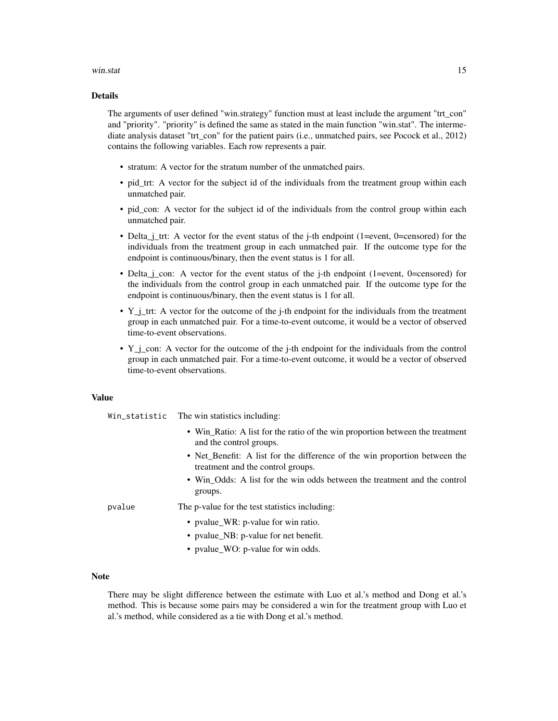#### win.stat 15

#### Details

The arguments of user defined "win.strategy" function must at least include the argument "trt\_con" and "priority". "priority" is defined the same as stated in the main function "win.stat". The intermediate analysis dataset "trt\_con" for the patient pairs (i.e., unmatched pairs, see Pocock et al., 2012) contains the following variables. Each row represents a pair.

- stratum: A vector for the stratum number of the unmatched pairs.
- pid trt: A vector for the subject id of the individuals from the treatment group within each unmatched pair.
- pid\_con: A vector for the subject id of the individuals from the control group within each unmatched pair.
- Delta<sub>ll</sub>trt: A vector for the event status of the j-th endpoint (1=event, 0=censored) for the individuals from the treatment group in each unmatched pair. If the outcome type for the endpoint is continuous/binary, then the event status is 1 for all.
- Delta j con: A vector for the event status of the j-th endpoint (1=event, 0=censored) for the individuals from the control group in each unmatched pair. If the outcome type for the endpoint is continuous/binary, then the event status is 1 for all.
- Y\_j\_trt: A vector for the outcome of the j-th endpoint for the individuals from the treatment group in each unmatched pair. For a time-to-event outcome, it would be a vector of observed time-to-event observations.
- Y\_j\_con: A vector for the outcome of the j-th endpoint for the individuals from the control group in each unmatched pair. For a time-to-event outcome, it would be a vector of observed time-to-event observations.

#### Value

Win\_statistic The win statistics including:

- Win\_Ratio: A list for the ratio of the win proportion between the treatment and the control groups.
- Net\_Benefit: A list for the difference of the win proportion between the treatment and the control groups.
- Win\_Odds: A list for the win odds between the treatment and the control groups.
- pvalue The p-value for the test statistics including:
	- pvalue WR: p-value for win ratio.
	- pvalue NB: p-value for net benefit.
	- pvalue\_WO: p-value for win odds.

#### Note

There may be slight difference between the estimate with Luo et al.'s method and Dong et al.'s method. This is because some pairs may be considered a win for the treatment group with Luo et al.'s method, while considered as a tie with Dong et al.'s method.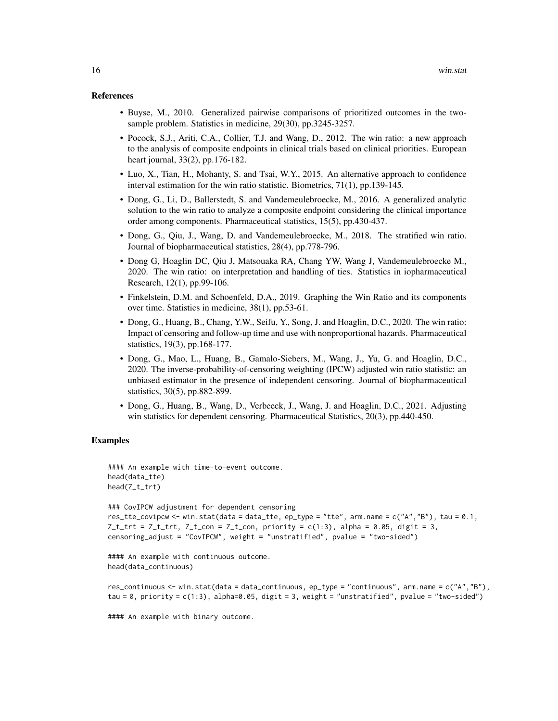#### References

- Buyse, M., 2010. Generalized pairwise comparisons of prioritized outcomes in the twosample problem. Statistics in medicine, 29(30), pp.3245-3257.
- Pocock, S.J., Ariti, C.A., Collier, T.J. and Wang, D., 2012. The win ratio: a new approach to the analysis of composite endpoints in clinical trials based on clinical priorities. European heart journal, 33(2), pp.176-182.
- Luo, X., Tian, H., Mohanty, S. and Tsai, W.Y., 2015. An alternative approach to confidence interval estimation for the win ratio statistic. Biometrics, 71(1), pp.139-145.
- Dong, G., Li, D., Ballerstedt, S. and Vandemeulebroecke, M., 2016. A generalized analytic solution to the win ratio to analyze a composite endpoint considering the clinical importance order among components. Pharmaceutical statistics, 15(5), pp.430-437.
- Dong, G., Qiu, J., Wang, D. and Vandemeulebroecke, M., 2018. The stratified win ratio. Journal of biopharmaceutical statistics, 28(4), pp.778-796.
- Dong G, Hoaglin DC, Qiu J, Matsouaka RA, Chang YW, Wang J, Vandemeulebroecke M., 2020. The win ratio: on interpretation and handling of ties. Statistics in iopharmaceutical Research, 12(1), pp.99-106.
- Finkelstein, D.M. and Schoenfeld, D.A., 2019. Graphing the Win Ratio and its components over time. Statistics in medicine, 38(1), pp.53-61.
- Dong, G., Huang, B., Chang, Y.W., Seifu, Y., Song, J. and Hoaglin, D.C., 2020. The win ratio: Impact of censoring and follow-up time and use with nonproportional hazards. Pharmaceutical statistics, 19(3), pp.168-177.
- Dong, G., Mao, L., Huang, B., Gamalo-Siebers, M., Wang, J., Yu, G. and Hoaglin, D.C., 2020. The inverse-probability-of-censoring weighting (IPCW) adjusted win ratio statistic: an unbiased estimator in the presence of independent censoring. Journal of biopharmaceutical statistics, 30(5), pp.882-899.
- Dong, G., Huang, B., Wang, D., Verbeeck, J., Wang, J. and Hoaglin, D.C., 2021. Adjusting win statistics for dependent censoring. Pharmaceutical Statistics, 20(3), pp.440-450.

#### Examples

```
#### An example with time-to-event outcome.
head(data_tte)
head(Z_t_trt)
### CovIPCW adjustment for dependent censoring
res_tte_covipcw <- win.stat(data = data_tte, ep_type = "tte", arm.name = c("A","B"), tau = 0.1,
Z_t_trt = Z_t_trt, Z_t_con = Z_t_con, priority = c(1:3), alpha = 0.05, digit = 3,
censoring_adjust = "CovIPCW", weight = "unstratified", pvalue = "two-sided")
```
#### An example with continuous outcome. head(data\_continuous)

```
res_continuous <- win.stat(data = data_continuous, ep_type = "continuous", arm.name = c("A","B"),
tau = 0, priority = c(1:3), alpha=0.05, digit = 3, weight = "unstratified", pvalue = "two-sided")
```
#### An example with binary outcome.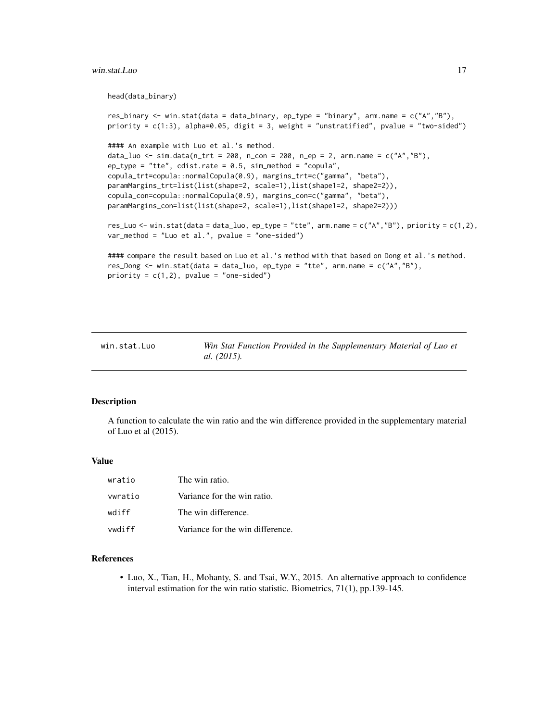#### <span id="page-16-0"></span>win.stat.Luo 17

```
head(data_binary)
res_binary <- win.stat(data = data_binary, ep_type = "binary", arm.name = c("A","B"),
priority = c(1:3), alpha=0.05, digit = 3, weight = "unstratified", pvalue = "two-sided")
#### An example with Luo et al.'s method.
data_luo <- sim.data(n_trt = 200, n_con = 200, n_ep = 2, arm.name = c("A", "B"),
ep_type = "tte", cdist_rate = 0.5, sim</u>0, = "copula",copula_trt=copula::normalCopula(0.9), margins_trt=c("gamma", "beta"),
paramMargins_trt=list(list(shape=2, scale=1),list(shape1=2, shape2=2)),
copula_con=copula::normalCopula(0.9), margins_con=c("gamma", "beta"),
paramMargins_con=list(list(shape=2, scale=1),list(shape1=2, shape2=2)))
res_Luo <- win.stat(data = data_luo, ep_type = "tte", arm.name = c("A", "B"), priority = c(1,2),
var_method = "Luo et al.", pvalue = "one-sided")
#### compare the result based on Luo et al.'s method with that based on Dong et al.'s method.
res_Dong <- win.stat(data = data_luo, ep_type = "tte", arm.name = c("A","B"),
priority = c(1,2), pvalue = "one-sided")
```

|  | win.stat.Luo |  |
|--|--------------|--|
|--|--------------|--|

Win Stat Function Provided in the Supplementary Material of Luo et *al. (2015).*

#### Description

A function to calculate the win ratio and the win difference provided in the supplementary material of Luo et al (2015).

#### Value

| wratio  | The win ratio.                   |
|---------|----------------------------------|
| vwratio | Variance for the win ratio.      |
| wdiff   | The win difference.              |
| vwdiff  | Variance for the win difference. |

#### References

• Luo, X., Tian, H., Mohanty, S. and Tsai, W.Y., 2015. An alternative approach to confidence interval estimation for the win ratio statistic. Biometrics, 71(1), pp.139-145.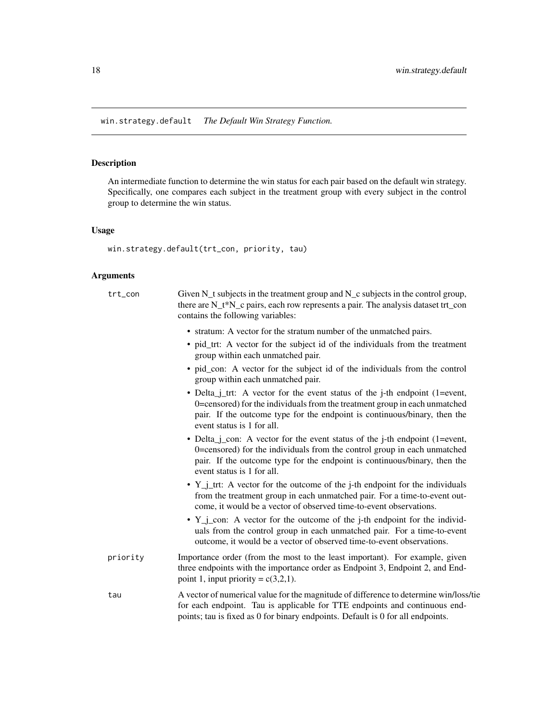<span id="page-17-1"></span><span id="page-17-0"></span>win.strategy.default *The Default Win Strategy Function.*

## Description

An intermediate function to determine the win status for each pair based on the default win strategy. Specifically, one compares each subject in the treatment group with every subject in the control group to determine the win status.

#### Usage

win.strategy.default(trt\_con, priority, tau)

| $trt_{con}$ | Given N_t subjects in the treatment group and N_c subjects in the control group,<br>there are N_t*N_c pairs, each row represents a pair. The analysis dataset trt_con<br>contains the following variables:                                                                       |
|-------------|----------------------------------------------------------------------------------------------------------------------------------------------------------------------------------------------------------------------------------------------------------------------------------|
|             | • stratum: A vector for the stratum number of the unmatched pairs.                                                                                                                                                                                                               |
|             | • pid_trt: A vector for the subject id of the individuals from the treatment<br>group within each unmatched pair.                                                                                                                                                                |
|             | • pid_con: A vector for the subject id of the individuals from the control<br>group within each unmatched pair.                                                                                                                                                                  |
|             | • Delta <sub>ll</sub> trt: A vector for the event status of the j-th endpoint (1=event,<br>0=censored) for the individuals from the treatment group in each unmatched<br>pair. If the outcome type for the endpoint is continuous/binary, then the<br>event status is 1 for all. |
|             | • Delta <sub>l</sub> con: A vector for the event status of the j-th endpoint (1=event,<br>0=censored) for the individuals from the control group in each unmatched<br>pair. If the outcome type for the endpoint is continuous/binary, then the<br>event status is 1 for all.    |
|             | • Y_j_trt: A vector for the outcome of the j-th endpoint for the individuals<br>from the treatment group in each unmatched pair. For a time-to-event out-<br>come, it would be a vector of observed time-to-event observations.                                                  |
|             | • Y_j_con: A vector for the outcome of the j-th endpoint for the individ-<br>uals from the control group in each unmatched pair. For a time-to-event<br>outcome, it would be a vector of observed time-to-event observations.                                                    |
| priority    | Importance order (from the most to the least important). For example, given<br>three endpoints with the importance order as Endpoint 3, Endpoint 2, and End-<br>point 1, input priority = $c(3,2,1)$ .                                                                           |
| tau         | A vector of numerical value for the magnitude of difference to determine win/loss/tie<br>for each endpoint. Tau is applicable for TTE endpoints and continuous end-<br>points; tau is fixed as 0 for binary endpoints. Default is 0 for all endpoints.                           |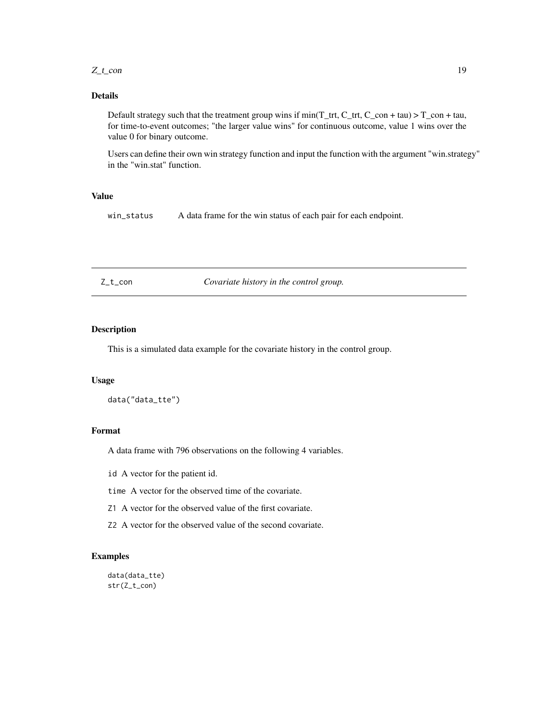<span id="page-18-0"></span> $Z_t$  con 19

## Details

Default strategy such that the treatment group wins if  $min(T-trt, C-trt, Ccon + tau) > T_{con} + tau$ , for time-to-event outcomes; "the larger value wins" for continuous outcome, value 1 wins over the value 0 for binary outcome.

Users can define their own win strategy function and input the function with the argument "win.strategy" in the "win.stat" function.

#### Value

win\_status A data frame for the win status of each pair for each endpoint.

Z\_t\_con *Covariate history in the control group.*

## Description

This is a simulated data example for the covariate history in the control group.

#### Usage

data("data\_tte")

## Format

A data frame with 796 observations on the following 4 variables.

id A vector for the patient id.

time A vector for the observed time of the covariate.

Z1 A vector for the observed value of the first covariate.

Z2 A vector for the observed value of the second covariate.

```
data(data_tte)
str(Z_t_con)
```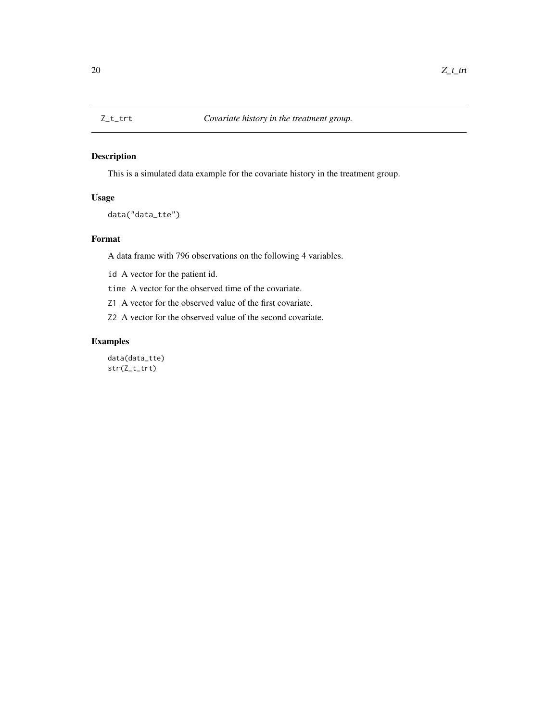<span id="page-19-0"></span>

## Description

This is a simulated data example for the covariate history in the treatment group.

## Usage

data("data\_tte")

## Format

A data frame with 796 observations on the following 4 variables.

id A vector for the patient id.

time A vector for the observed time of the covariate.

Z1 A vector for the observed value of the first covariate.

Z2 A vector for the observed value of the second covariate.

## Examples

data(data\_tte) str(Z\_t\_trt)